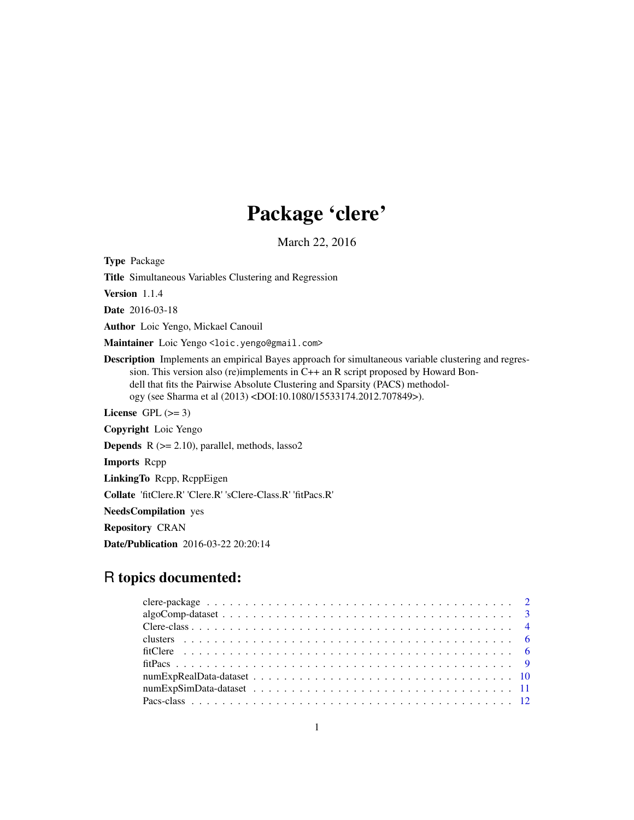## Package 'clere'

March 22, 2016

<span id="page-0-0"></span>Type Package Title Simultaneous Variables Clustering and Regression Version 1.1.4 Date 2016-03-18 Author Loic Yengo, Mickael Canouil Maintainer Loic Yengo <loic.yengo@gmail.com> Description Implements an empirical Bayes approach for simultaneous variable clustering and regression. This version also (re)implements in C++ an R script proposed by Howard Bondell that fits the Pairwise Absolute Clustering and Sparsity (PACS) methodology (see Sharma et al (2013) <DOI:10.1080/15533174.2012.707849>). License GPL  $(>= 3)$ Copyright Loic Yengo **Depends**  $R$  ( $>= 2.10$ ), parallel, methods, lasso2 Imports Rcpp LinkingTo Rcpp, RcppEigen Collate 'fitClere.R' 'Clere.R' 'sClere-Class.R' 'fitPacs.R' NeedsCompilation yes Repository CRAN Date/Publication 2016-03-22 20:20:14

## R topics documented: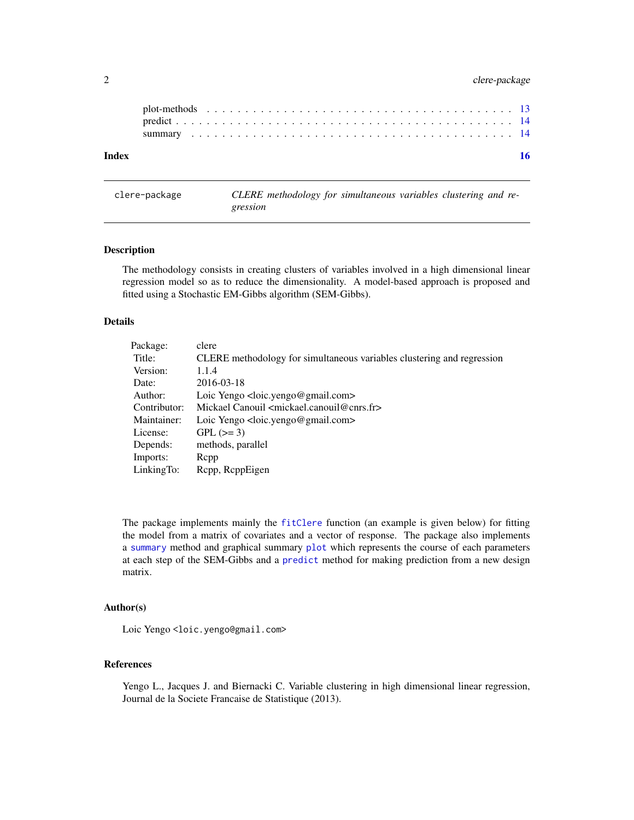## <span id="page-1-0"></span>2 clere-package

| Index |  |  |  |  |  |  |  |  |  |  |  |  |  |  |  |  |  |  |
|-------|--|--|--|--|--|--|--|--|--|--|--|--|--|--|--|--|--|--|
|       |  |  |  |  |  |  |  |  |  |  |  |  |  |  |  |  |  |  |
|       |  |  |  |  |  |  |  |  |  |  |  |  |  |  |  |  |  |  |
|       |  |  |  |  |  |  |  |  |  |  |  |  |  |  |  |  |  |  |

<span id="page-1-1"></span>clere-package *CLERE methodology for simultaneous variables clustering and regression*

#### <span id="page-1-2"></span>Description

The methodology consists in creating clusters of variables involved in a high dimensional linear regression model so as to reduce the dimensionality. A model-based approach is proposed and fitted using a Stochastic EM-Gibbs algorithm (SEM-Gibbs).

#### Details

| Package:     | clere                                                                  |
|--------------|------------------------------------------------------------------------|
| Title:       | CLERE methodology for simultaneous variables clustering and regression |
| Version:     | 1.1.4                                                                  |
| Date:        | 2016-03-18                                                             |
| Author:      | Loic Yengo <loic.yengo@gmail.com></loic.yengo@gmail.com>               |
| Contributor: | Mickael Canouil <mickael.canouil@cnrs.fr></mickael.canouil@cnrs.fr>    |
| Maintainer:  | Loic Yengo <loic.yengo@gmail.com></loic.yengo@gmail.com>               |
| License:     | $GPL (=3)$                                                             |
| Depends:     | methods, parallel                                                      |
| Imports:     | Repp                                                                   |
| LinkingTo:   | Repp, ReppEigen                                                        |

The package implements mainly the [fitClere](#page-5-1) function (an example is given below) for fitting the model from a matrix of covariates and a vector of response. The package also implements a [summary](#page-13-1) method and graphical summary [plot](#page-12-1) which represents the course of each parameters at each step of the SEM-Gibbs and a [predict](#page-13-2) method for making prediction from a new design matrix.

#### Author(s)

Loic Yengo<loic.yengo@gmail.com>

#### References

Yengo L., Jacques J. and Biernacki C. Variable clustering in high dimensional linear regression, Journal de la Societe Francaise de Statistique (2013).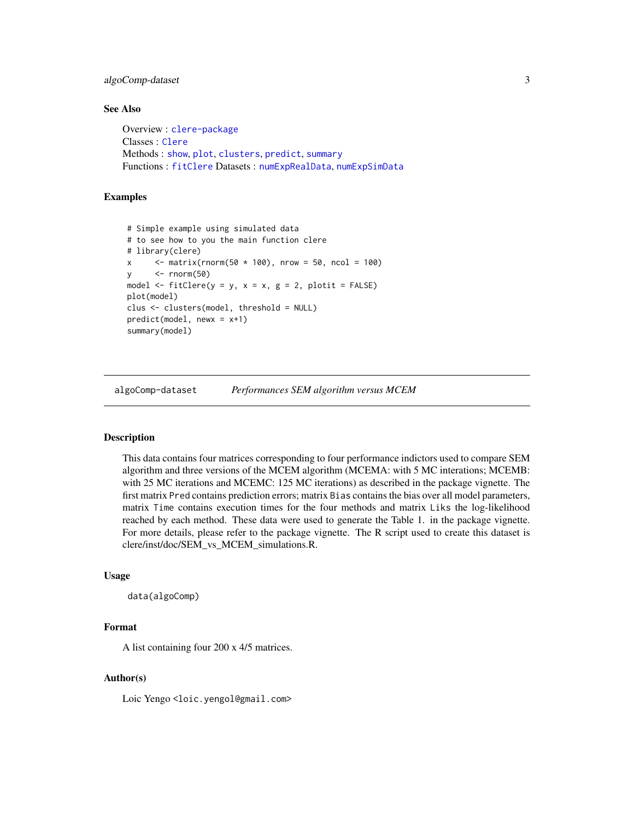## <span id="page-2-0"></span>algoComp-dataset 3

## See Also

```
Overview : clere-package
Classes : Clere
Methods : show, plot, clusters, predict, summary
Functions : fitClere Datasets : numExpRealData, numExpSimData
```
## Examples

```
# Simple example using simulated data
# to see how to you the main function clere
# library(clere)
x \le - matrix(rnorm(50 * 100), nrow = 50, ncol = 100)
y <- rnorm(50)
model \le fitClere(y = y, x = x, g = 2, plotit = FALSE)
plot(model)
clus <- clusters(model, threshold = NULL)
predict(model, newx = x+1)
summary(model)
```
algoComp-dataset *Performances SEM algorithm versus MCEM*

## <span id="page-2-1"></span>**Description**

This data contains four matrices corresponding to four performance indictors used to compare SEM algorithm and three versions of the MCEM algorithm (MCEMA: with 5 MC interations; MCEMB: with 25 MC iterations and MCEMC: 125 MC iterations) as described in the package vignette. The first matrix Pred contains prediction errors; matrix Bias contains the bias over all model parameters, matrix Time contains execution times for the four methods and matrix Liks the log-likelihood reached by each method. These data were used to generate the Table 1. in the package vignette. For more details, please refer to the package vignette. The R script used to create this dataset is clere/inst/doc/SEM\_vs\_MCEM\_simulations.R.

#### Usage

```
data(algoComp)
```
## Format

A list containing four 200 x 4/5 matrices.

#### Author(s)

Loic Yengo <loic.yengol@gmail.com>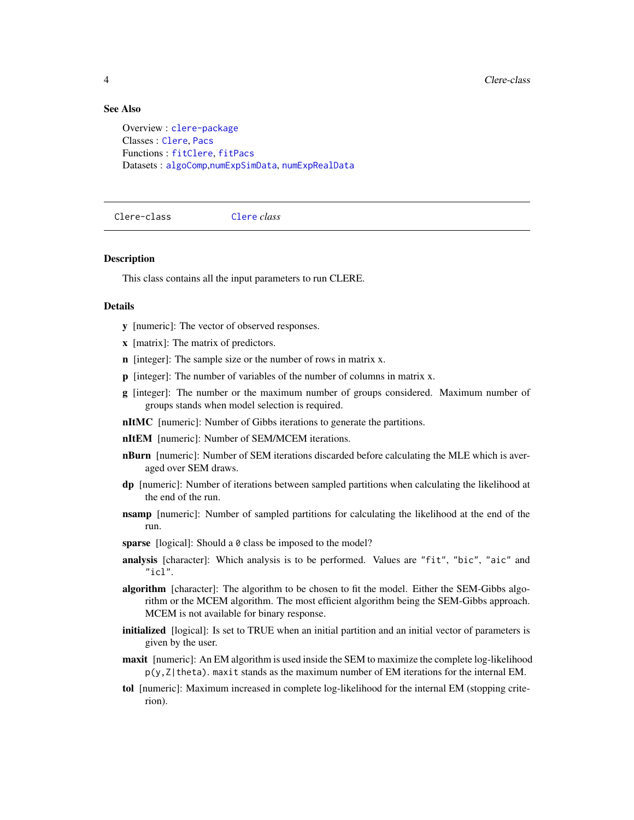#### See Also

Overview : [clere-package](#page-1-1) Classes : [Clere](#page-3-1), [Pacs](#page-11-1) Functions : [fitClere](#page-5-1), [fitPacs](#page-8-1) Datasets : [algoComp](#page-2-1),[numExpSimData](#page-10-1), [numExpRealData](#page-9-1)

<span id="page-3-1"></span>Clere-class [Clere](#page-3-1) *class*

#### **Description**

This class contains all the input parameters to run CLERE.

## Details

- y [numeric]: The vector of observed responses.
- x [matrix]: The matrix of predictors.
- n [integer]: The sample size or the number of rows in matrix x.
- p [integer]: The number of variables of the number of columns in matrix x.
- g [integer]: The number or the maximum number of groups considered. Maximum number of groups stands when model selection is required.
- nItMC [numeric]: Number of Gibbs iterations to generate the partitions.
- nItEM [numeric]: Number of SEM/MCEM iterations.
- **nBurn** [numeric]: Number of SEM iterations discarded before calculating the MLE which is averaged over SEM draws.
- dp [numeric]: Number of iterations between sampled partitions when calculating the likelihood at the end of the run.
- **nsamp** [numeric]: Number of sampled partitions for calculating the likelihood at the end of the run.
- sparse [logical]: Should a 0 class be imposed to the model?
- analysis [character]: Which analysis is to be performed. Values are "fit", "bic", "aic" and  $"$ icl".
- algorithm [character]: The algorithm to be chosen to fit the model. Either the SEM-Gibbs algorithm or the MCEM algorithm. The most efficient algorithm being the SEM-Gibbs approach. MCEM is not available for binary response.
- initialized [logical]: Is set to TRUE when an initial partition and an initial vector of parameters is given by the user.
- maxit [numeric]: An EM algorithm is used inside the SEM to maximize the complete log-likelihood  $p(y, Z | \text{theta})$ . maxit stands as the maximum number of EM iterations for the internal EM.
- tol [numeric]: Maximum increased in complete log-likelihood for the internal EM (stopping criterion).

<span id="page-3-0"></span>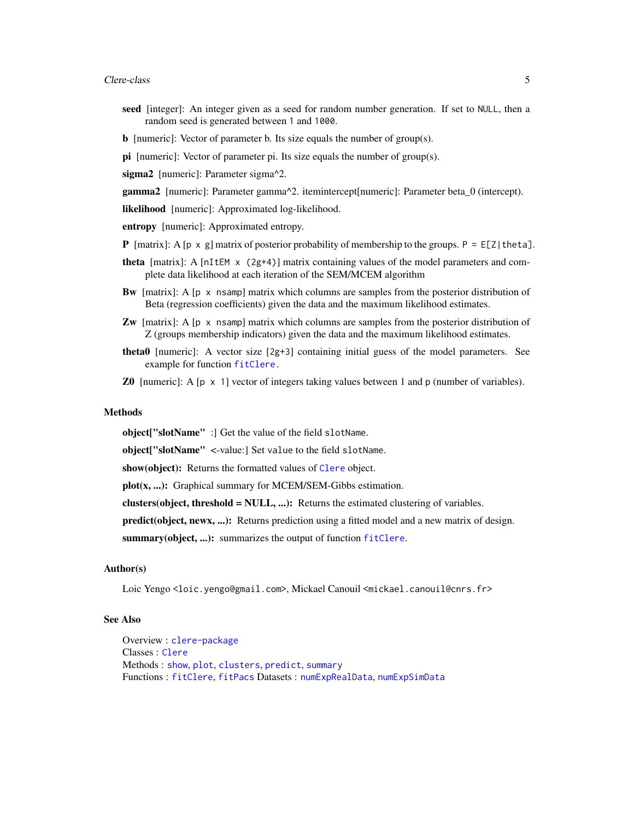- <span id="page-4-0"></span>seed [integer]: An integer given as a seed for random number generation. If set to NULL, then a random seed is generated between 1 and 1000.
- b [numeric]: Vector of parameter b. Its size equals the number of group(s).
- **pi** [numeric]: Vector of parameter pi. Its size equals the number of group(s).

sigma2 [numeric]: Parameter sigma^2.

gamma2 [numeric]: Parameter gamma^2. itemintercept[numeric]: Parameter beta\_0 (intercept).

likelihood [numeric]: Approximated log-likelihood.

entropy [numeric]: Approximated entropy.

- **P** [matrix]: A [p x g] matrix of posterior probability of membership to the groups. P = E[Z|theta].
- **theta** [matrix]: A [nItEM  $\times$  (2g+4)] matrix containing values of the model parameters and complete data likelihood at each iteration of the SEM/MCEM algorithm
- **Bw** [matrix]: A  $[p \times p]$  nsamp] matrix which columns are samples from the posterior distribution of Beta (regression coefficients) given the data and the maximum likelihood estimates.
- **Zw** [matrix]: A [p x nsamp] matrix which columns are samples from the posterior distribution of Z (groups membership indicators) given the data and the maximum likelihood estimates.
- theta0 [numeric]: A vector size [2g+3] containing initial guess of the model parameters. See example for function [fitClere.](#page-5-1)
- **Z0** [numeric]: A [p  $\times$  1] vector of integers taking values between 1 and p (number of variables).

#### **Methods**

object["slotName" :] Get the value of the field slotName.

object["slotName" <-value:] Set value to the field slotName.

show(object): Returns the formatted values of [Clere](#page-3-1) object.

plot(x, ...): Graphical summary for MCEM/SEM-Gibbs estimation.

clusters(object, threshold  $= NULL, ...$ ): Returns the estimated clustering of variables.

predict(object, newx, ...): Returns prediction using a fitted model and a new matrix of design.

summary(object, ...): summarizes the output of function [fitClere](#page-5-1).

## Author(s)

Loic Yengo <loic.yengo@gmail.com>, Mickael Canouil <mickael.canouil@cnrs.fr>

#### See Also

Overview : [clere-package](#page-1-1) Classes : [Clere](#page-3-1) Methods : [show](#page-0-0), [plot](#page-12-1), [clusters](#page-5-2), [predict](#page-13-2), [summary](#page-13-1) Functions : [fitClere](#page-5-1), [fitPacs](#page-8-1) Datasets : [numExpRealData](#page-9-1), [numExpSimData](#page-10-1)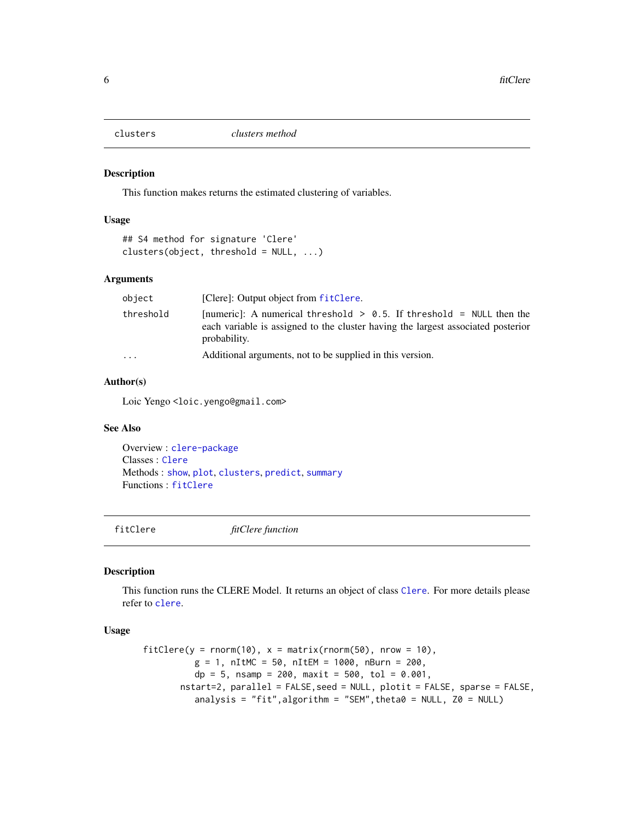<span id="page-5-2"></span><span id="page-5-0"></span>

#### Description

This function makes returns the estimated clustering of variables.

#### Usage

```
## S4 method for signature 'Clere'
clusters(object, threshold = NULL, ...)
```
## Arguments

| object    | [Clere]: Output object from fitClere.                                                                                                                                       |
|-----------|-----------------------------------------------------------------------------------------------------------------------------------------------------------------------------|
| threshold | [numeric]: A numerical threshold $> 0.5$ . If threshold = NULL then the<br>each variable is assigned to the cluster having the largest associated posterior<br>probability. |
| .         | Additional arguments, not to be supplied in this version.                                                                                                                   |

## Author(s)

Loic Yengo<loic.yengo@gmail.com>

#### See Also

Overview : [clere-package](#page-1-1) Classes : [Clere](#page-3-1) Methods : [show](#page-0-0), [plot](#page-12-1), [clusters](#page-5-2), [predict](#page-13-2), [summary](#page-13-1) Functions : [fitClere](#page-5-1)

<span id="page-5-1"></span>fitClere *fitClere function*

#### Description

This function runs the CLERE Model. It returns an object of class [Clere](#page-3-1). For more details please refer to [clere](#page-1-2).

#### Usage

```
fitClere(y = \text{norm}(10), x = \text{matrix}( \text{norm}(50) ), nrow = 10),
           g = 1, nItMC = 50, nItEM = 1000, nBurn = 200,
           dp = 5, nsamp = 200, maxit = 500, tol = 0.001,
       nstart=2, parallel = FALSE, seed = NULL, plotit = FALSE, sparse = FALSE,
           analysis = "fit", algorithm = "SEM", theta0 = NULL, Z0 = NULL)
```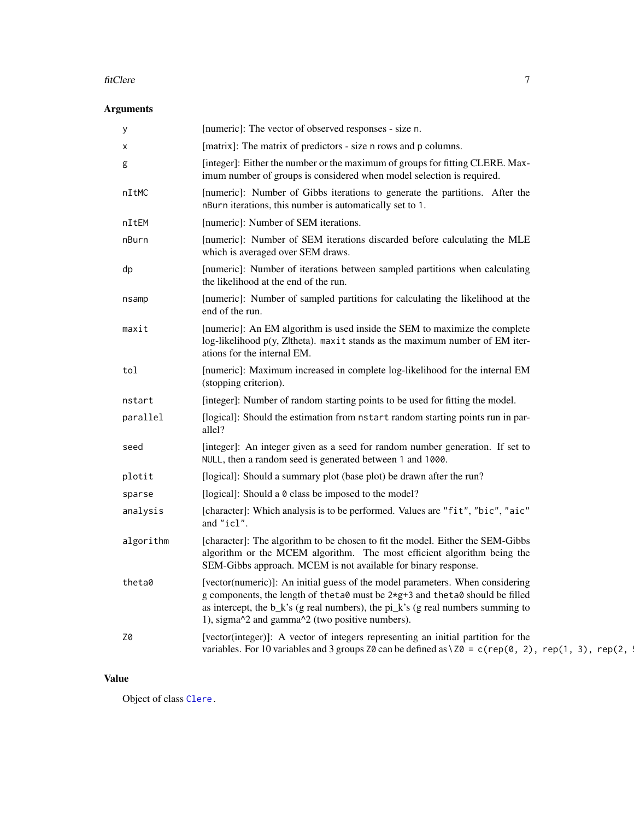#### fitClere 7

## Arguments

| у         | [numeric]: The vector of observed responses - size n.                                                                                                                                                                                                                                                                         |
|-----------|-------------------------------------------------------------------------------------------------------------------------------------------------------------------------------------------------------------------------------------------------------------------------------------------------------------------------------|
| х         | [matrix]: The matrix of predictors - size n rows and p columns.                                                                                                                                                                                                                                                               |
| g         | [integer]: Either the number or the maximum of groups for fitting CLERE. Max-<br>imum number of groups is considered when model selection is required.                                                                                                                                                                        |
| nItMC     | [numeric]: Number of Gibbs iterations to generate the partitions. After the<br>nBurn iterations, this number is automatically set to 1.                                                                                                                                                                                       |
| nItEM     | [numeric]: Number of SEM iterations.                                                                                                                                                                                                                                                                                          |
| nBurn     | [numeric]: Number of SEM iterations discarded before calculating the MLE<br>which is averaged over SEM draws.                                                                                                                                                                                                                 |
| dp        | [numeric]: Number of iterations between sampled partitions when calculating<br>the likelihood at the end of the run.                                                                                                                                                                                                          |
| nsamp     | [numeric]: Number of sampled partitions for calculating the likelihood at the<br>end of the run.                                                                                                                                                                                                                              |
| maxit     | [numeric]: An EM algorithm is used inside the SEM to maximize the complete<br>log-likelihood p(y, Z theta). maxit stands as the maximum number of EM iter-<br>ations for the internal EM.                                                                                                                                     |
| tol       | [numeric]: Maximum increased in complete log-likelihood for the internal EM<br>(stopping criterion).                                                                                                                                                                                                                          |
| nstart    | [integer]: Number of random starting points to be used for fitting the model.                                                                                                                                                                                                                                                 |
| parallel  | [logical]: Should the estimation from nstart random starting points run in par-<br>allel?                                                                                                                                                                                                                                     |
| seed      | [integer]: An integer given as a seed for random number generation. If set to<br>NULL, then a random seed is generated between 1 and 1000.                                                                                                                                                                                    |
| plotit    | [logical]: Should a summary plot (base plot) be drawn after the run?                                                                                                                                                                                                                                                          |
| sparse    | [logical]: Should a 0 class be imposed to the model?                                                                                                                                                                                                                                                                          |
| analysis  | [character]: Which analysis is to be performed. Values are "fit", "bic", "aic"<br>and "icl".                                                                                                                                                                                                                                  |
| algorithm | [character]: The algorithm to be chosen to fit the model. Either the SEM-Gibbs<br>algorithm or the MCEM algorithm. The most efficient algorithm being the<br>SEM-Gibbs approach. MCEM is not available for binary response.                                                                                                   |
| theta0    | [vector(numeric)]: An initial guess of the model parameters. When considering<br>g components, the length of the ta0 must be 2*g+3 and the ta0 should be filled<br>as intercept, the $b_k$ 's (g real numbers), the $pi_k$ 's (g real numbers summing to<br>1), sigma $\alpha$ 2 and gamma $\alpha$ 2 (two positive numbers). |
| Z0        | [vector(integer)]: A vector of integers representing an initial partition for the<br>variables. For 10 variables and 3 groups Z0 can be defined as $\setminus$ Z0 = c(rep(0, 2), rep(1, 3), rep(2,                                                                                                                            |

## Value

Object of class [Clere.](#page-3-1)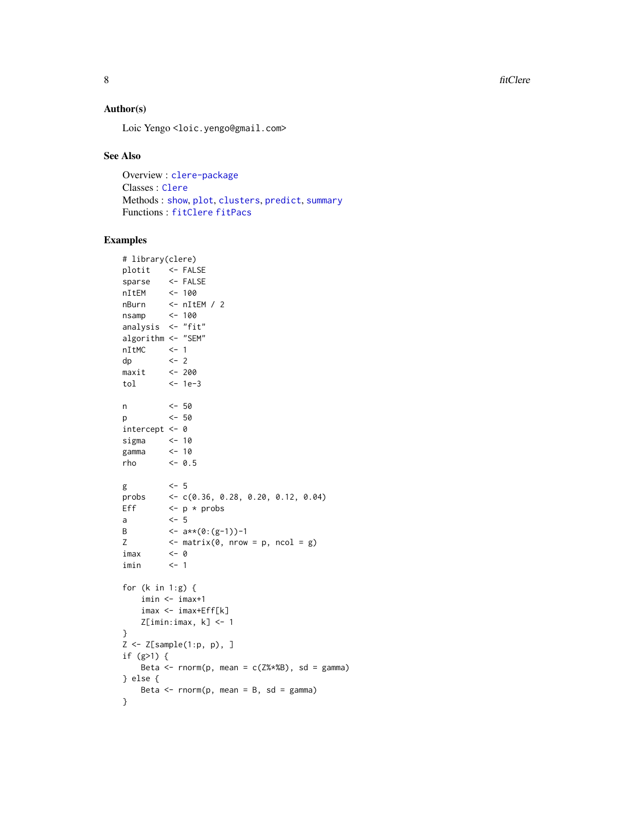<span id="page-7-0"></span>8 fitClere

## Author(s)

Loic Yengo <loic.yengo@gmail.com>

#### See Also

Overview : [clere-package](#page-1-1) Classes : [Clere](#page-3-1) Methods : [show](#page-0-0), [plot](#page-12-1), [clusters](#page-5-2), [predict](#page-13-2), [summary](#page-13-1) Functions : [fitClere](#page-5-1) [fitPacs](#page-8-1)

## Examples

```
# library(clere)
plotit <- FALSE
sparse <- FALSE
nItEM <- 100
nBurn <- nItEM / 2
nsamp <- 100
analysis <- "fit"
algorithm <- "SEM"
nItMC <- 1
dp <- 2
maxit <- 200
tol <- 1e-3
n <- 50
p <- 50
intercept <- 0
sigma <- 10
gamma <- 10
rho <- 0.5
g \leq -5probs <- c(0.36, 0.28, 0.20, 0.12, 0.04)
Eff \leftarrow p \star probs
a <- 5
B \leftarrow a**(0:(g-1))-1
Z \leftarrow matrix(0, nrow = p, ncol = g)imax <- 0
imin <- 1
for (k in 1:g) {
   imin <- imax+1
   imax <- imax+Eff[k]
   Z[imin:imax, k] <- 1
}
Z \leftarrow Z[sample(1:p, p), ]if (g>1) {
   Beta \leq rnorm(p, mean = c(Z%*%B), sd = gamma)
} else {
   Beta \leq rnorm(p, mean = B, sd = gamma)
}
```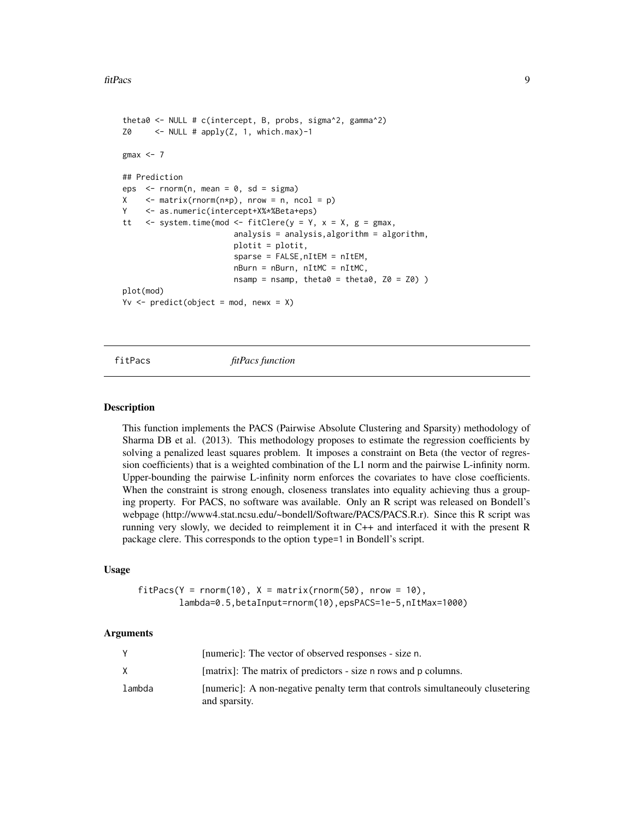```
theta0 <- NULL # c(intercept, B, probs, sigma^2, gamma^2)
Z0 <- NULL # apply(Z, 1, which.max)-1
gmax <-7## Prediction
eps \le - rnorm(n, mean = 0, sd = sigma)
X \leq - matrix(rnorm(n*p), nrow = n, ncol = p)
Y <- as.numeric(intercept+X%*%Beta+eps)
tt \langle - system.time(mod \langle - fitClere(y = Y, x = X, g = gmax,
                         analysis = analysis,algorithm = algorithm,
                         plotit = plotit,
                         sparse = FALSE,nItEM = nItEM,
                         nBurn = nBurn, nItMC = nItMC,
                         n\tan p = n\tan p, theta0 = \text{theta}, Z0 = Z0) )
plot(mod)
Yv \le predict(object = mod, newx = X)
```
<span id="page-8-1"></span>

fitPacs *fitPacs function*

#### **Description**

This function implements the PACS (Pairwise Absolute Clustering and Sparsity) methodology of Sharma DB et al. (2013). This methodology proposes to estimate the regression coefficients by solving a penalized least squares problem. It imposes a constraint on Beta (the vector of regression coefficients) that is a weighted combination of the L1 norm and the pairwise L-infinity norm. Upper-bounding the pairwise L-infinity norm enforces the covariates to have close coefficients. When the constraint is strong enough, closeness translates into equality achieving thus a grouping property. For PACS, no software was available. Only an R script was released on Bondell's webpage (http://www4.stat.ncsu.edu/~bondell/Software/PACS/PACS.R.r). Since this R script was running very slowly, we decided to reimplement it in C++ and interfaced it with the present R package clere. This corresponds to the option type=1 in Bondell's script.

#### Usage

```
fitPacs(Y = rnorm(10), X = matrix(rnorm(50), nrow = 10),lambda=0.5,betaInput=rnorm(10),epsPACS=1e-5,nItMax=1000)
```
#### Arguments

|        | [numeric]: The vector of observed responses - size n.                                           |
|--------|-------------------------------------------------------------------------------------------------|
|        | [matrix]: The matrix of predictors - size n rows and p columns.                                 |
| lambda | [numeric]: A non-negative penalty term that controls simultaneouly clusetering<br>and sparsity. |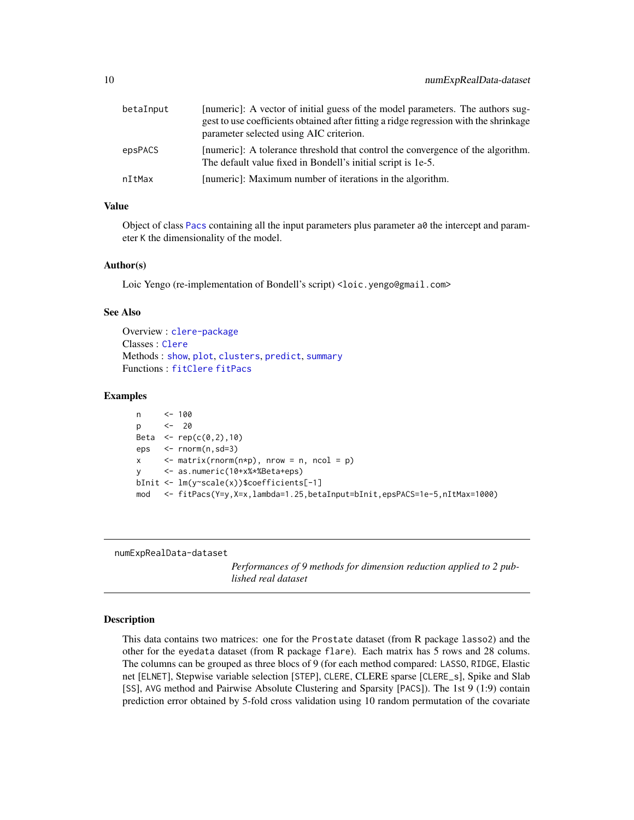<span id="page-9-0"></span>

| betaInput | [numeric]: A vector of initial guess of the model parameters. The authors sug-<br>gest to use coefficients obtained after fitting a ridge regression with the shrinkage |
|-----------|-------------------------------------------------------------------------------------------------------------------------------------------------------------------------|
|           | parameter selected using AIC criterion.                                                                                                                                 |
| epsPACS   | [numeric]: A tolerance threshold that control the convergence of the algorithm.<br>The default value fixed in Bondell's initial script is 1e-5.                         |
| nItMax    | [numeric]: Maximum number of iterations in the algorithm.                                                                                                               |

## Value

Object of class [Pacs](#page-11-1) containing all the input parameters plus parameter a0 the intercept and parameter K the dimensionality of the model.

#### Author(s)

Loic Yengo (re-implementation of Bondell's script) <loic.yengo@gmail.com>

#### See Also

```
Overview : clere-package
Classes : Clere
Methods : show, plot, clusters, predict, summary
Functions : fitClere fitPacs
```
#### Examples

```
n <- 100
p <- 20
Beta \leq rep(c(0,2),10)
eps <- rnorm(n,sd=3)
x \leq - matrix(rnorm(n \star p), nrow = n, ncol = p)
y <- as.numeric(10+x%*%Beta+eps)
bInit <- lm(y~scale(x))$coefficients[-1]
mod <- fitPacs(Y=y,X=x,lambda=1.25,betaInput=bInit,epsPACS=1e-5,nItMax=1000)
```
numExpRealData-dataset

*Performances of 9 methods for dimension reduction applied to 2 published real dataset*

#### <span id="page-9-1"></span>**Description**

This data contains two matrices: one for the Prostate dataset (from R package lasso2) and the other for the eyedata dataset (from R package flare). Each matrix has 5 rows and 28 colums. The columns can be grouped as three blocs of 9 (for each method compared: LASSO, RIDGE, Elastic net [ELNET], Stepwise variable selection [STEP], CLERE, CLERE sparse [CLERE\_s], Spike and Slab [SS], AVG method and Pairwise Absolute Clustering and Sparsity [PACS]). The 1st 9 (1:9) contain prediction error obtained by 5-fold cross validation using 10 random permutation of the covariate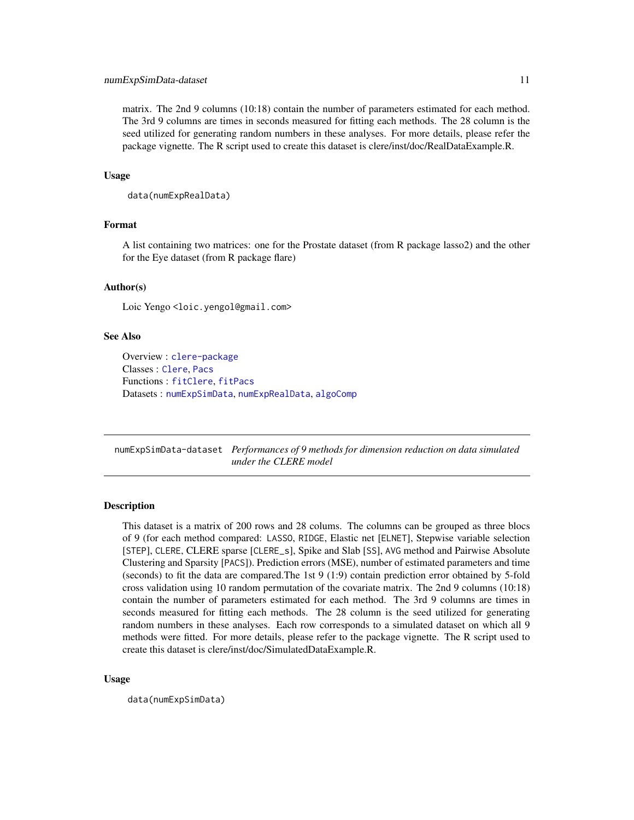#### <span id="page-10-0"></span>numExpSimData-dataset 11

matrix. The 2nd 9 columns (10:18) contain the number of parameters estimated for each method. The 3rd 9 columns are times in seconds measured for fitting each methods. The 28 column is the seed utilized for generating random numbers in these analyses. For more details, please refer the package vignette. The R script used to create this dataset is clere/inst/doc/RealDataExample.R.

#### Usage

```
data(numExpRealData)
```
## Format

A list containing two matrices: one for the Prostate dataset (from R package lasso2) and the other for the Eye dataset (from R package flare)

#### Author(s)

Loic Yengo <loic.yengol@gmail.com>

## See Also

Overview : [clere-package](#page-1-1) Classes : [Clere](#page-3-1), [Pacs](#page-11-1) Functions : [fitClere](#page-5-1), [fitPacs](#page-8-1) Datasets : [numExpSimData](#page-10-1), [numExpRealData](#page-9-1), [algoComp](#page-2-1)

numExpSimData-dataset *Performances of 9 methods for dimension reduction on data simulated under the CLERE model*

## <span id="page-10-1"></span>Description

This dataset is a matrix of 200 rows and 28 colums. The columns can be grouped as three blocs of 9 (for each method compared: LASSO, RIDGE, Elastic net [ELNET], Stepwise variable selection [STEP], CLERE, CLERE sparse [CLERE\_s], Spike and Slab [SS], AVG method and Pairwise Absolute Clustering and Sparsity [PACS]). Prediction errors (MSE), number of estimated parameters and time (seconds) to fit the data are compared.The 1st 9 (1:9) contain prediction error obtained by 5-fold cross validation using 10 random permutation of the covariate matrix. The 2nd 9 columns (10:18) contain the number of parameters estimated for each method. The 3rd 9 columns are times in seconds measured for fitting each methods. The 28 column is the seed utilized for generating random numbers in these analyses. Each row corresponds to a simulated dataset on which all 9 methods were fitted. For more details, please refer to the package vignette. The R script used to create this dataset is clere/inst/doc/SimulatedDataExample.R.

#### Usage

data(numExpSimData)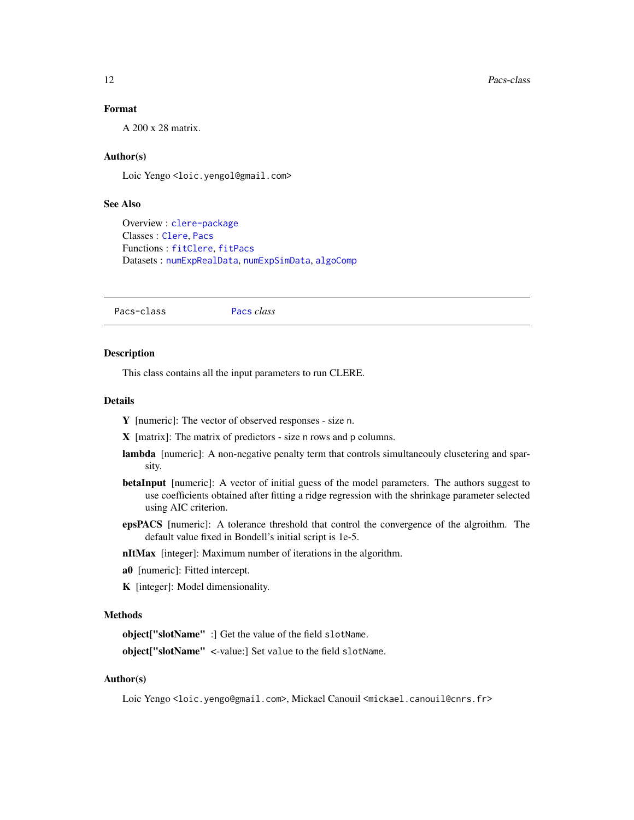## <span id="page-11-0"></span>Format

A 200 x 28 matrix.

## Author(s)

Loic Yengo <loic.yengol@gmail.com>

## See Also

Overview : [clere-package](#page-1-1) Classes : [Clere](#page-3-1), [Pacs](#page-11-1) Functions : [fitClere](#page-5-1), [fitPacs](#page-8-1) Datasets : [numExpRealData](#page-9-1), [numExpSimData](#page-10-1), [algoComp](#page-2-1)

<span id="page-11-1"></span>Pacs-class [Pacs](#page-11-1) *class*

## **Description**

This class contains all the input parameters to run CLERE.

#### Details

Y [numeric]: The vector of observed responses - size n.

- X [matrix]: The matrix of predictors size n rows and p columns.
- lambda [numeric]: A non-negative penalty term that controls simultaneouly clusetering and sparsity.
- betaInput [numeric]: A vector of initial guess of the model parameters. The authors suggest to use coefficients obtained after fitting a ridge regression with the shrinkage parameter selected using AIC criterion.
- epsPACS [numeric]: A tolerance threshold that control the convergence of the algroithm. The default value fixed in Bondell's initial script is 1e-5.

nItMax [integer]: Maximum number of iterations in the algorithm.

- a0 [numeric]: Fitted intercept.
- K [integer]: Model dimensionality.

#### Methods

object["slotName" :] Get the value of the field slotName.

object["slotName" <-value:] Set value to the field slotName.

#### Author(s)

Loic Yengo <loic.yengo@gmail.com>, Mickael Canouil <mickael.canouil@cnrs.fr>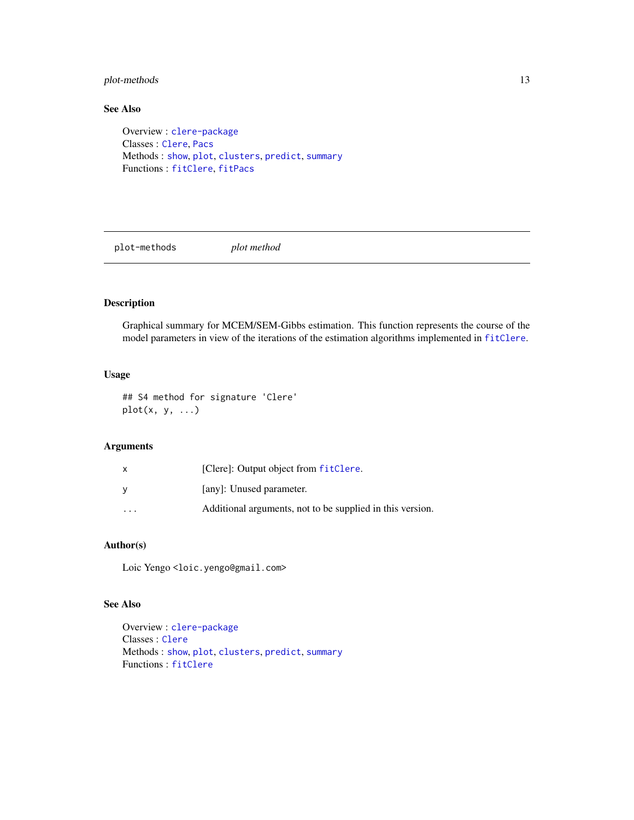## <span id="page-12-0"></span>plot-methods 13

## See Also

Overview : [clere-package](#page-1-1) Classes : [Clere](#page-3-1), [Pacs](#page-11-1) Methods : [show](#page-0-0), [plot](#page-12-1), [clusters](#page-5-2), [predict](#page-13-2), [summary](#page-13-1) Functions : [fitClere](#page-5-1), [fitPacs](#page-8-1)

plot-methods *plot method*

## <span id="page-12-1"></span>Description

Graphical summary for MCEM/SEM-Gibbs estimation. This function represents the course of the model parameters in view of the iterations of the estimation algorithms implemented in [fitClere](#page-5-1).

## Usage

## S4 method for signature 'Clere'  $plot(x, y, ...)$ 

## Arguments

| X                       | [Clere]: Output object from fitClere.                     |
|-------------------------|-----------------------------------------------------------|
| y                       | [any]: Unused parameter.                                  |
| $\cdot$ $\cdot$ $\cdot$ | Additional arguments, not to be supplied in this version. |

## Author(s)

Loic Yengo<loic.yengo@gmail.com>

### See Also

Overview : [clere-package](#page-1-1) Classes : [Clere](#page-3-1) Methods : [show](#page-0-0), [plot](#page-12-1), [clusters](#page-5-2), [predict](#page-13-2), [summary](#page-13-1) Functions : [fitClere](#page-5-1)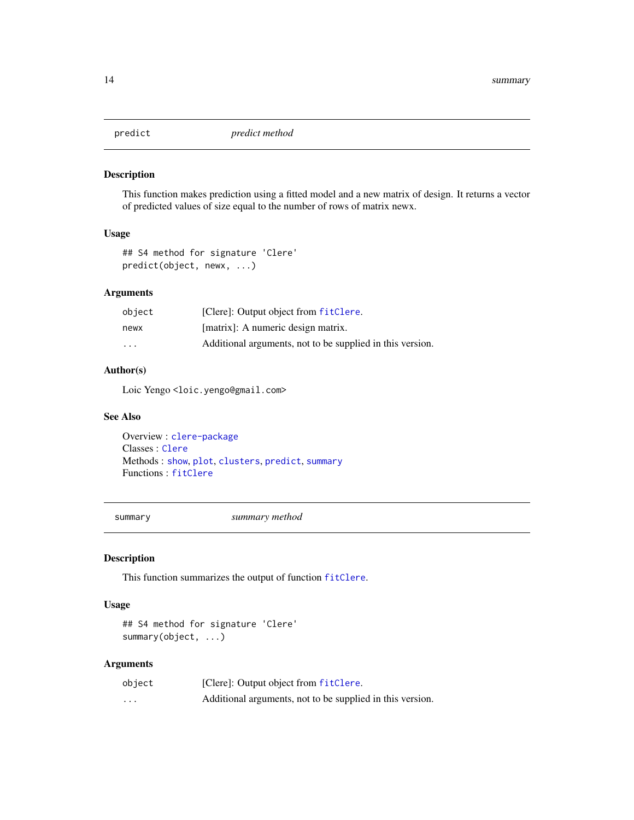<span id="page-13-2"></span><span id="page-13-0"></span>

#### Description

This function makes prediction using a fitted model and a new matrix of design. It returns a vector of predicted values of size equal to the number of rows of matrix newx.

## Usage

```
## S4 method for signature 'Clere'
predict(object, newx, ...)
```
## Arguments

| object                  | [Clere]: Output object from fitClere.                     |
|-------------------------|-----------------------------------------------------------|
| newx                    | [matrix]: A numeric design matrix.                        |
| $\cdot$ $\cdot$ $\cdot$ | Additional arguments, not to be supplied in this version. |

## Author(s)

Loic Yengo <loic.yengo@gmail.com>

#### See Also

Overview : [clere-package](#page-1-1) Classes : [Clere](#page-3-1) Methods : [show](#page-0-0), [plot](#page-12-1), [clusters](#page-5-2), [predict](#page-13-2), [summary](#page-13-1) Functions : [fitClere](#page-5-1)

<span id="page-13-1"></span>

summary *summary method*

## Description

This function summarizes the output of function [fitClere](#page-5-1).

### Usage

```
## S4 method for signature 'Clere'
summary(object, ...)
```
## Arguments

| object | [Clere]: Output object from fitClere.                     |
|--------|-----------------------------------------------------------|
| .      | Additional arguments, not to be supplied in this version. |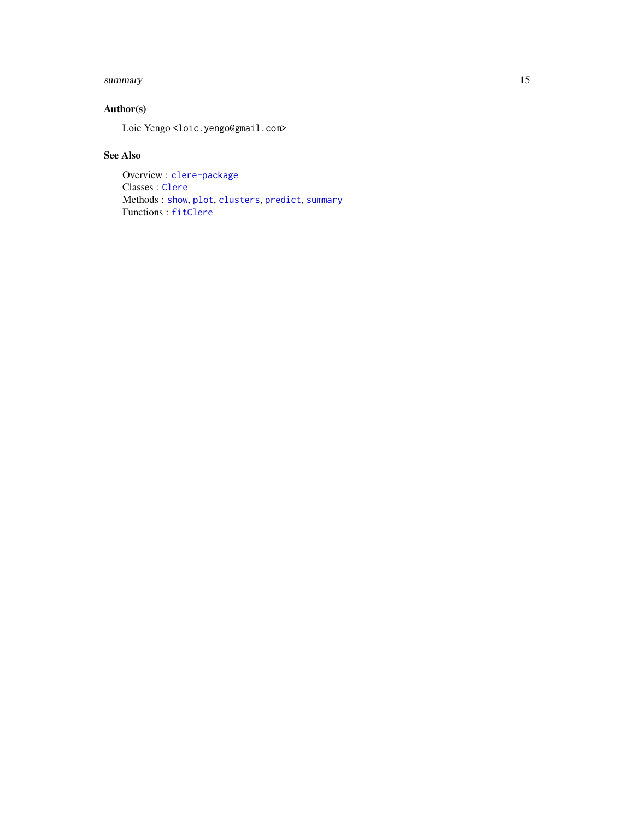#### <span id="page-14-0"></span>summary the contract of the contract of the contract of the contract of the contract of the contract of the contract of the contract of the contract of the contract of the contract of the contract of the contract of the co

## Author(s)

Loic Yengo <loic.yengo@gmail.com>

## See Also

Overview : [clere-package](#page-1-1) Classes : [Clere](#page-3-1) Methods : [show](#page-0-0), [plot](#page-12-1), [clusters](#page-5-2), [predict](#page-13-2), [summary](#page-13-1) Functions : [fitClere](#page-5-1)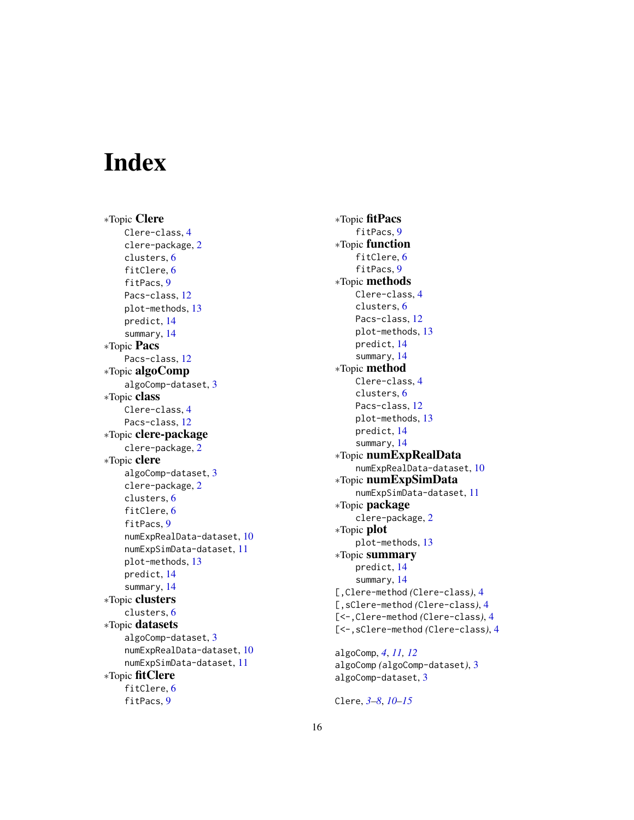# <span id="page-15-0"></span>**Index**

∗Topic Clere Clere-class, [4](#page-3-0) clere-package, [2](#page-1-0) clusters, [6](#page-5-0) fitClere, [6](#page-5-0) fitPacs, [9](#page-8-0) Pacs-class, [12](#page-11-0) plot-methods, [13](#page-12-0) predict, [14](#page-13-0) summary, [14](#page-13-0) ∗Topic Pacs Pacs-class, [12](#page-11-0) ∗Topic algoComp algoComp-dataset, [3](#page-2-0) ∗Topic class Clere-class, [4](#page-3-0) Pacs-class, [12](#page-11-0) ∗Topic clere-package clere-package, [2](#page-1-0) ∗Topic clere algoComp-dataset, [3](#page-2-0) clere-package, [2](#page-1-0) clusters, [6](#page-5-0) fitClere, [6](#page-5-0) fitPacs, [9](#page-8-0) numExpRealData-dataset, [10](#page-9-0) numExpSimData-dataset, [11](#page-10-0) plot-methods, [13](#page-12-0) predict, [14](#page-13-0) summary, [14](#page-13-0) ∗Topic clusters clusters, [6](#page-5-0) ∗Topic datasets algoComp-dataset, [3](#page-2-0) numExpRealData-dataset, [10](#page-9-0) numExpSimData-dataset, [11](#page-10-0) ∗Topic fitClere fitClere, [6](#page-5-0) fitPacs, [9](#page-8-0)

∗Topic fitPacs fitPacs, [9](#page-8-0) ∗Topic function fitClere, [6](#page-5-0) fitPacs, [9](#page-8-0) ∗Topic methods Clere-class, [4](#page-3-0) clusters, [6](#page-5-0) Pacs-class, [12](#page-11-0) plot-methods, [13](#page-12-0) predict, [14](#page-13-0) summary, [14](#page-13-0) ∗Topic method Clere-class, [4](#page-3-0) clusters, [6](#page-5-0) Pacs-class, [12](#page-11-0) plot-methods, [13](#page-12-0) predict, [14](#page-13-0) summary, [14](#page-13-0) ∗Topic numExpRealData numExpRealData-dataset, [10](#page-9-0) ∗Topic numExpSimData numExpSimData-dataset, [11](#page-10-0) ∗Topic package clere-package, [2](#page-1-0) ∗Topic plot plot-methods, [13](#page-12-0) ∗Topic summary predict, [14](#page-13-0) summary, [14](#page-13-0) [,Clere-method *(*Clere-class*)*, [4](#page-3-0) [,sClere-method *(*Clere-class*)*, [4](#page-3-0) [<-,Clere-method *(*Clere-class*)*, [4](#page-3-0) [<-,sClere-method *(*Clere-class*)*, [4](#page-3-0) algoComp, *[4](#page-3-0)*, *[11,](#page-10-0) [12](#page-11-0)*

algoComp *(*algoComp-dataset*)*, [3](#page-2-0) algoComp-dataset, [3](#page-2-0)

Clere, *[3–](#page-2-0)[8](#page-7-0)*, *[10](#page-9-0)[–15](#page-14-0)*